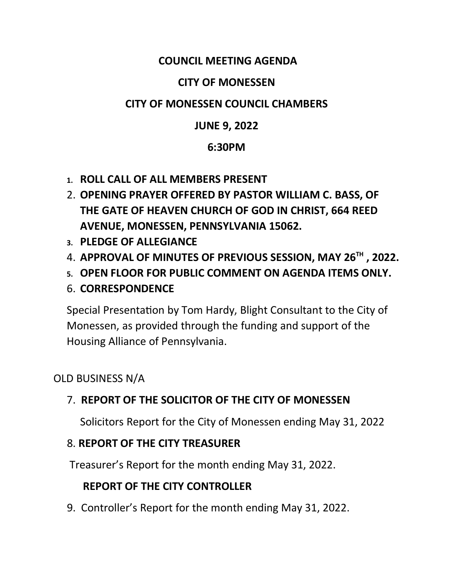#### **COUNCIL MEETING AGENDA**

#### **CITY OF MONESSEN**

#### **CITY OF MONESSEN COUNCIL CHAMBERS**

#### **JUNE 9, 2022**

#### **6:30PM**

- **1. ROLL CALL OF ALL MEMBERS PRESENT**
- 2. **OPENING PRAYER OFFERED BY PASTOR WILLIAM C. BASS, OF THE GATE OF HEAVEN CHURCH OF GOD IN CHRIST, 664 REED AVENUE, MONESSEN, PENNSYLVANIA 15062.**
- **3. PLEDGE OF ALLEGIANCE**
- 4. **APPROVAL OF MINUTES OF PREVIOUS SESSION, MAY 26TH , 2022.**
- **5. OPEN FLOOR FOR PUBLIC COMMENT ON AGENDA ITEMS ONLY.**
- 6. **CORRESPONDENCE**

Special Presentation by Tom Hardy, Blight Consultant to the City of Monessen, as provided through the funding and support of the Housing Alliance of Pennsylvania.

OLD BUSINESS N/A

### 7. **REPORT OF THE SOLICITOR OF THE CITY OF MONESSEN**

Solicitors Report for the City of Monessen ending May 31, 2022

#### 8. **REPORT OF THE CITY TREASURER**

Treasurer's Report for the month ending May 31, 2022.

#### **REPORT OF THE CITY CONTROLLER**

9. Controller's Report for the month ending May 31, 2022.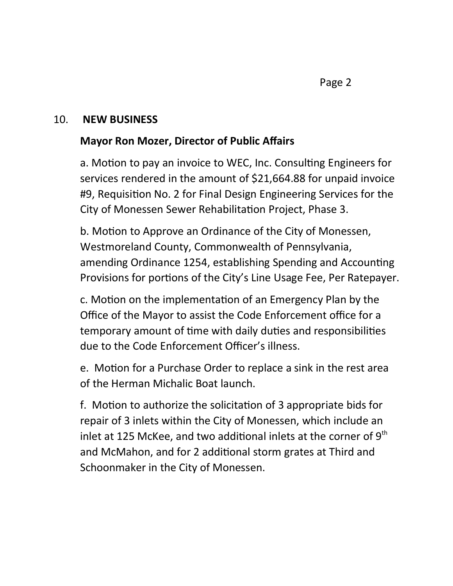#### 10. **NEW BUSINESS**

#### **Mayor Ron Mozer, Director of Public Affairs**

a. Motion to pay an invoice to WEC, Inc. Consulting Engineers for services rendered in the amount of \$21,664.88 for unpaid invoice #9, Requision No. 2 for Final Design Engineering Services for the City of Monessen Sewer Rehabilitation Project, Phase 3.

b. Motion to Approve an Ordinance of the City of Monessen, Westmoreland County, Commonwealth of Pennsylvania, amending Ordinance 1254, establishing Spending and Accounting Provisions for portions of the City's Line Usage Fee, Per Ratepayer.

c. Motion on the implementation of an Emergency Plan by the Office of the Mayor to assist the Code Enforcement office for a temporary amount of time with daily duties and responsibilities due to the Code Enforcement Officer's illness.

e. Motion for a Purchase Order to replace a sink in the rest area of the Herman Michalic Boat launch.

f. Motion to authorize the solicitation of 3 appropriate bids for repair of 3 inlets within the City of Monessen, which include an inlet at 125 McKee, and two additional inlets at the corner of  $9<sup>th</sup>$ and McMahon, and for 2 additional storm grates at Third and Schoonmaker in the City of Monessen.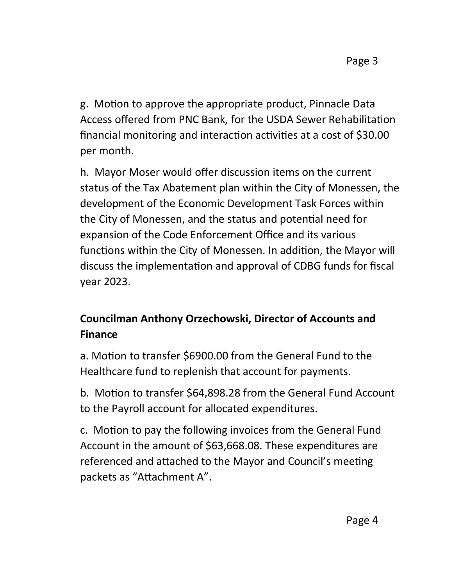g. Motion to approve the appropriate product, Pinnacle Data Access offered from PNC Bank, for the USDA Sewer Rehabilitation financial monitoring and interaction activities at a cost of \$30.00 per month.

h. Mayor Moser would offer discussion items on the current status of the Tax Abatement plan within the City of Monessen, the development of the Economic Development Task Forces within the City of Monessen, and the status and potential need for expansion of the Code Enforcement Office and its various functions within the City of Monessen. In addition, the Mayor will discuss the implementation and approval of CDBG funds for fiscal year 2023.

# **Councilman Anthony Orzechowski, Director of Accounts and Finance**

a. Motion to transfer \$6900.00 from the General Fund to the Healthcare fund to replenish that account for payments.

b. Motion to transfer \$64,898.28 from the General Fund Account to the Payroll account for allocated expenditures.

c. Motion to pay the following invoices from the General Fund Account in the amount of \$63,668.08. These expenditures are referenced and attached to the Mayor and Council's meeting packets as "Attachment A".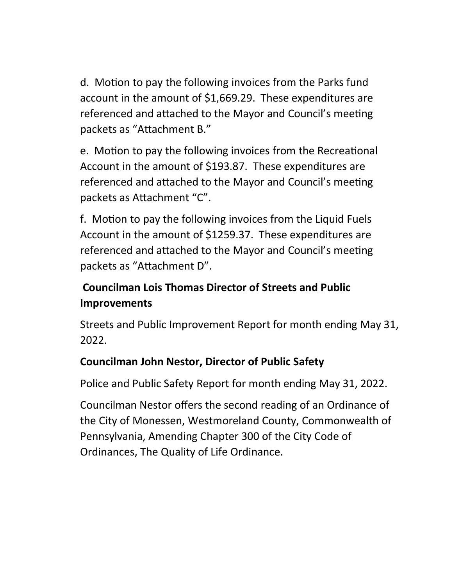d. Motion to pay the following invoices from the Parks fund account in the amount of \$1,669.29. These expenditures are referenced and attached to the Mayor and Council's meeting packets as "Attachment B."

e. Motion to pay the following invoices from the Recreational Account in the amount of \$193.87. These expenditures are referenced and attached to the Mayor and Council's meeting packets as Attachment "C".

f. Motion to pay the following invoices from the Liquid Fuels Account in the amount of \$1259.37. These expenditures are referenced and attached to the Mayor and Council's meeting packets as "Attachment D".

### **Councilman Lois Thomas Director of Streets and Public Improvements**

Streets and Public Improvement Report for month ending May 31, 2022.

### **Councilman John Nestor, Director of Public Safety**

Police and Public Safety Report for month ending May 31, 2022.

Councilman Nestor offers the second reading of an Ordinance of the City of Monessen, Westmoreland County, Commonwealth of Pennsylvania, Amending Chapter 300 of the City Code of Ordinances, The Quality of Life Ordinance.